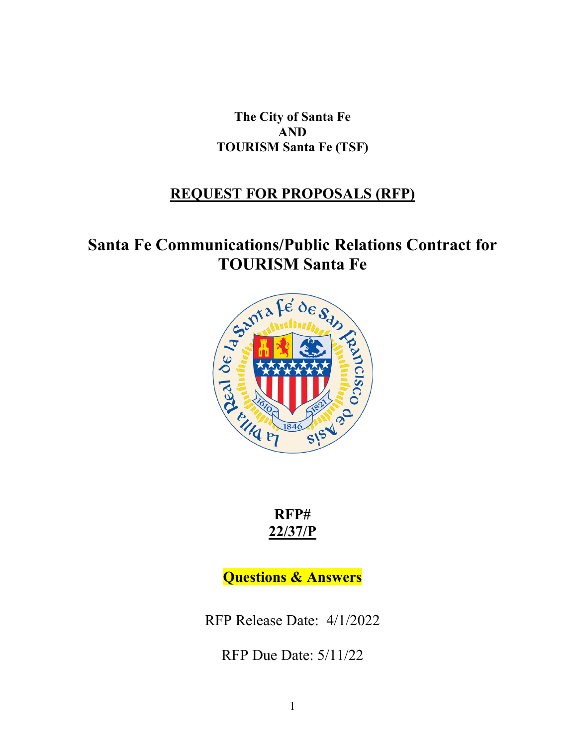**The City of Santa Fe AND TOURISM Santa Fe (TSF)**

## **REQUEST FOR PROPOSALS (RFP)**

## **Santa Fe Communications/Public Relations Contract for**



**RFP# 22/37/P**

**Questions & Answers**

RFP Release Date: 4/1/2022

RFP Due Date: 5/11/22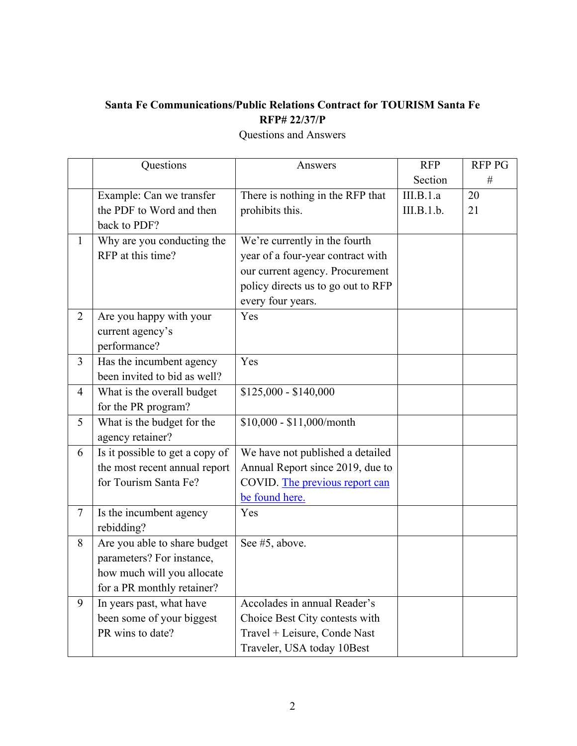## **Santa Fe Communications/Public Relations Contract for TOURISM Santa Fe RFP# 22/37/P**

|                | Questions                       | Answers                            | <b>RFP</b> | <b>RFP PG</b> |
|----------------|---------------------------------|------------------------------------|------------|---------------|
|                |                                 |                                    | Section    | $\#$          |
|                | Example: Can we transfer        | There is nothing in the RFP that   | III.B.1.a  | 20            |
|                | the PDF to Word and then        | prohibits this.                    | III.B.1.b. | 21            |
|                | back to PDF?                    |                                    |            |               |
| 1              | Why are you conducting the      | We're currently in the fourth      |            |               |
|                | RFP at this time?               | year of a four-year contract with  |            |               |
|                |                                 | our current agency. Procurement    |            |               |
|                |                                 | policy directs us to go out to RFP |            |               |
|                |                                 | every four years.                  |            |               |
| $\overline{2}$ | Are you happy with your         | Yes                                |            |               |
|                | current agency's                |                                    |            |               |
|                | performance?                    |                                    |            |               |
| $\overline{3}$ | Has the incumbent agency        | Yes                                |            |               |
|                | been invited to bid as well?    |                                    |            |               |
| $\overline{4}$ | What is the overall budget      | $$125,000 - $140,000$              |            |               |
|                | for the PR program?             |                                    |            |               |
| 5              | What is the budget for the      | \$10,000 - \$11,000/month          |            |               |
|                | agency retainer?                |                                    |            |               |
| 6              | Is it possible to get a copy of | We have not published a detailed   |            |               |
|                | the most recent annual report   | Annual Report since 2019, due to   |            |               |
|                | for Tourism Santa Fe?           | COVID. The previous report can     |            |               |
|                |                                 | be found here.                     |            |               |
| 7              | Is the incumbent agency         | Yes                                |            |               |
|                | rebidding?                      |                                    |            |               |
| 8              | Are you able to share budget    | See #5, above.                     |            |               |
|                | parameters? For instance,       |                                    |            |               |
|                | how much will you allocate      |                                    |            |               |
|                | for a PR monthly retainer?      |                                    |            |               |
| 9              | In years past, what have        | Accolades in annual Reader's       |            |               |
|                | been some of your biggest       | Choice Best City contests with     |            |               |
|                | PR wins to date?                | Travel + Leisure, Conde Nast       |            |               |
|                |                                 | Traveler, USA today 10Best         |            |               |

Questions and Answers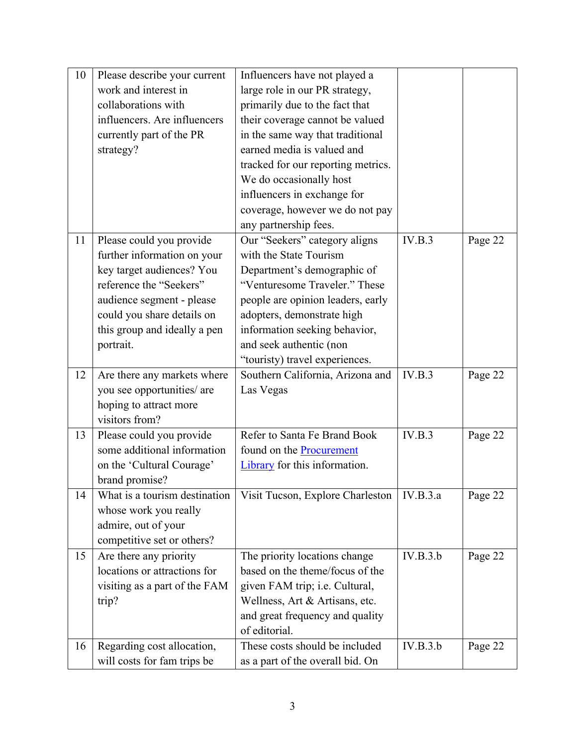| 10 | Please describe your current  | Influencers have not played a      |          |         |
|----|-------------------------------|------------------------------------|----------|---------|
|    | work and interest in          | large role in our PR strategy,     |          |         |
|    | collaborations with           | primarily due to the fact that     |          |         |
|    | influencers. Are influencers  | their coverage cannot be valued    |          |         |
|    | currently part of the PR      | in the same way that traditional   |          |         |
|    | strategy?                     | earned media is valued and         |          |         |
|    |                               | tracked for our reporting metrics. |          |         |
|    |                               | We do occasionally host            |          |         |
|    |                               | influencers in exchange for        |          |         |
|    |                               | coverage, however we do not pay    |          |         |
|    |                               | any partnership fees.              |          |         |
| 11 | Please could you provide      | Our "Seekers" category aligns      | IV.B.3   | Page 22 |
|    | further information on your   | with the State Tourism             |          |         |
|    | key target audiences? You     | Department's demographic of        |          |         |
|    | reference the "Seekers"       | "Venturesome Traveler." These      |          |         |
|    | audience segment - please     | people are opinion leaders, early  |          |         |
|    | could you share details on    | adopters, demonstrate high         |          |         |
|    | this group and ideally a pen  | information seeking behavior,      |          |         |
|    | portrait.                     | and seek authentic (non            |          |         |
|    |                               | "touristy) travel experiences.     |          |         |
|    |                               |                                    |          |         |
| 12 | Are there any markets where   | Southern California, Arizona and   | IV.B.3   | Page 22 |
|    | you see opportunities/ are    | Las Vegas                          |          |         |
|    | hoping to attract more        |                                    |          |         |
|    | visitors from?                |                                    |          |         |
| 13 | Please could you provide      | Refer to Santa Fe Brand Book       | IV.B.3   | Page 22 |
|    | some additional information   | found on the <b>Procurement</b>    |          |         |
|    | on the 'Cultural Courage'     | Library for this information.      |          |         |
|    | brand promise?                |                                    |          |         |
| 14 | What is a tourism destination | Visit Tucson, Explore Charleston   | IV.B.3.a | Page 22 |
|    | whose work you really         |                                    |          |         |
|    | admire, out of your           |                                    |          |         |
|    | competitive set or others?    |                                    |          |         |
| 15 | Are there any priority        | The priority locations change      | IV.B.3.b | Page 22 |
|    | locations or attractions for  | based on the theme/focus of the    |          |         |
|    | visiting as a part of the FAM | given FAM trip; i.e. Cultural,     |          |         |
|    | trip?                         | Wellness, Art & Artisans, etc.     |          |         |
|    |                               | and great frequency and quality    |          |         |
|    |                               | of editorial.                      |          |         |
| 16 | Regarding cost allocation,    | These costs should be included     | IV.B.3.b | Page 22 |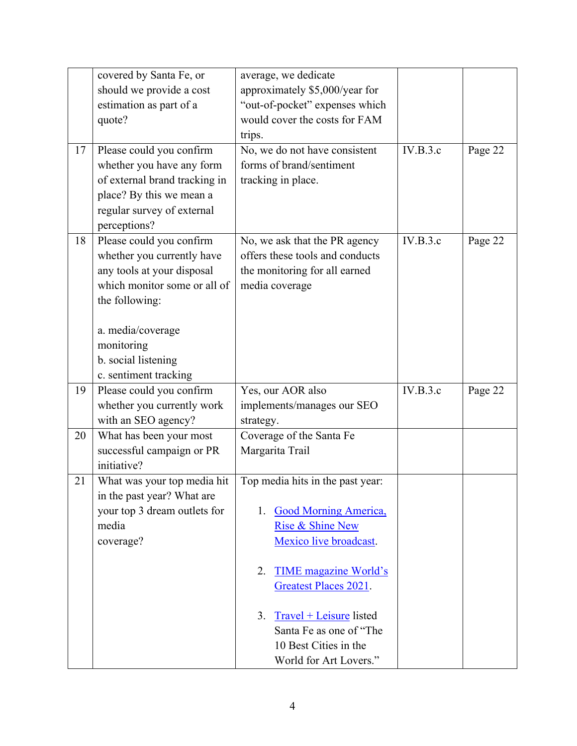|    | covered by Santa Fe, or       | average, we dedicate               |          |         |
|----|-------------------------------|------------------------------------|----------|---------|
|    | should we provide a cost      | approximately \$5,000/year for     |          |         |
|    | estimation as part of a       | "out-of-pocket" expenses which     |          |         |
|    | quote?                        | would cover the costs for FAM      |          |         |
|    |                               | trips.                             |          |         |
| 17 | Please could you confirm      | No, we do not have consistent      | IV.B.3.c | Page 22 |
|    | whether you have any form     | forms of brand/sentiment           |          |         |
|    | of external brand tracking in | tracking in place.                 |          |         |
|    | place? By this we mean a      |                                    |          |         |
|    | regular survey of external    |                                    |          |         |
|    | perceptions?                  |                                    |          |         |
| 18 | Please could you confirm      | No, we ask that the PR agency      | IV.B.3.c | Page 22 |
|    | whether you currently have    | offers these tools and conducts    |          |         |
|    | any tools at your disposal    | the monitoring for all earned      |          |         |
|    | which monitor some or all of  | media coverage                     |          |         |
|    | the following:                |                                    |          |         |
|    |                               |                                    |          |         |
|    | a. media/coverage             |                                    |          |         |
|    | monitoring                    |                                    |          |         |
|    | b. social listening           |                                    |          |         |
|    | c. sentiment tracking         |                                    |          |         |
| 19 | Please could you confirm      | Yes, our AOR also                  | IV.B.3.c | Page 22 |
|    | whether you currently work    | implements/manages our SEO         |          |         |
|    | with an SEO agency?           | strategy.                          |          |         |
| 20 | What has been your most       | Coverage of the Santa Fe           |          |         |
|    | successful campaign or PR     | Margarita Trail                    |          |         |
|    | initiative?                   |                                    |          |         |
| 21 | What was your top media hit   | Top media hits in the past year:   |          |         |
|    | in the past year? What are    |                                    |          |         |
|    | your top 3 dream outlets for  | <b>Good Morning America,</b><br>1. |          |         |
|    | media                         | Rise & Shine New                   |          |         |
|    | coverage?                     | Mexico live broadcast.             |          |         |
|    |                               |                                    |          |         |
|    |                               | TIME magazine World's<br>2.        |          |         |
|    |                               | Greatest Places 2021.              |          |         |
|    |                               | 3.<br>Travel + Leisure listed      |          |         |
|    |                               | Santa Fe as one of "The            |          |         |
|    |                               | 10 Best Cities in the              |          |         |
|    |                               | World for Art Lovers."             |          |         |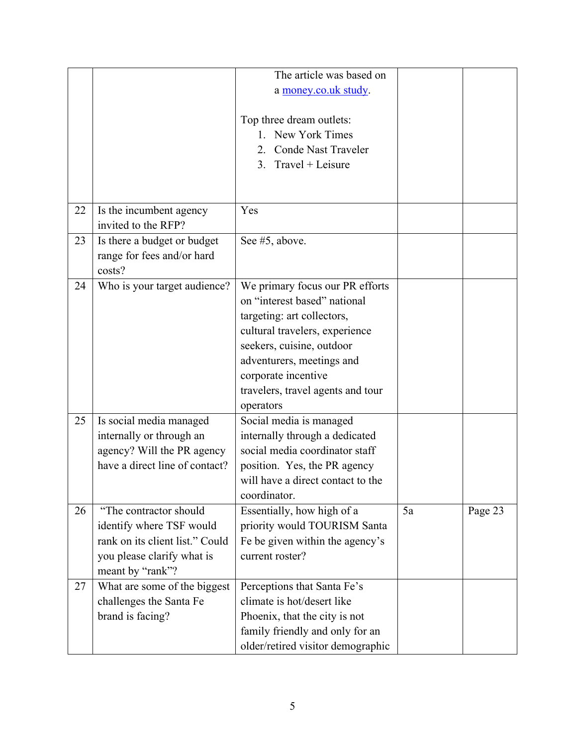|    |                                 | The article was based on                                          |    |         |
|----|---------------------------------|-------------------------------------------------------------------|----|---------|
|    |                                 | a money.co.uk study.                                              |    |         |
|    |                                 |                                                                   |    |         |
|    |                                 | Top three dream outlets:                                          |    |         |
|    |                                 | 1. New York Times                                                 |    |         |
|    |                                 | Conde Nast Traveler<br>2.                                         |    |         |
|    |                                 |                                                                   |    |         |
|    |                                 | $Travel + Leisure$<br>3.                                          |    |         |
|    |                                 |                                                                   |    |         |
|    |                                 |                                                                   |    |         |
| 22 | Is the incumbent agency         | Yes                                                               |    |         |
|    | invited to the RFP?             |                                                                   |    |         |
| 23 | Is there a budget or budget     | See #5, above.                                                    |    |         |
|    | range for fees and/or hard      |                                                                   |    |         |
|    | costs?                          |                                                                   |    |         |
| 24 | Who is your target audience?    | We primary focus our PR efforts                                   |    |         |
|    |                                 | on "interest based" national                                      |    |         |
|    |                                 | targeting: art collectors,                                        |    |         |
|    |                                 | cultural travelers, experience                                    |    |         |
|    |                                 | seekers, cuisine, outdoor                                         |    |         |
|    |                                 | adventurers, meetings and                                         |    |         |
|    |                                 | corporate incentive                                               |    |         |
|    |                                 | travelers, travel agents and tour                                 |    |         |
|    |                                 | operators                                                         |    |         |
| 25 | Is social media managed         | Social media is managed                                           |    |         |
|    | internally or through an        | internally through a dedicated                                    |    |         |
|    | agency? Will the PR agency      | social media coordinator staff                                    |    |         |
|    | have a direct line of contact?  |                                                                   |    |         |
|    |                                 | position. Yes, the PR agency<br>will have a direct contact to the |    |         |
|    |                                 |                                                                   |    |         |
|    |                                 | coordinator.                                                      |    |         |
| 26 | "The contractor should          | Essentially, how high of a                                        | 5a | Page 23 |
|    | identify where TSF would        | priority would TOURISM Santa                                      |    |         |
|    | rank on its client list." Could | Fe be given within the agency's                                   |    |         |
|    | you please clarify what is      | current roster?                                                   |    |         |
|    | meant by "rank"?                |                                                                   |    |         |
| 27 | What are some of the biggest    | Perceptions that Santa Fe's                                       |    |         |
|    | challenges the Santa Fe         | climate is hot/desert like                                        |    |         |
|    | brand is facing?                | Phoenix, that the city is not                                     |    |         |
|    |                                 | family friendly and only for an                                   |    |         |
|    |                                 | older/retired visitor demographic                                 |    |         |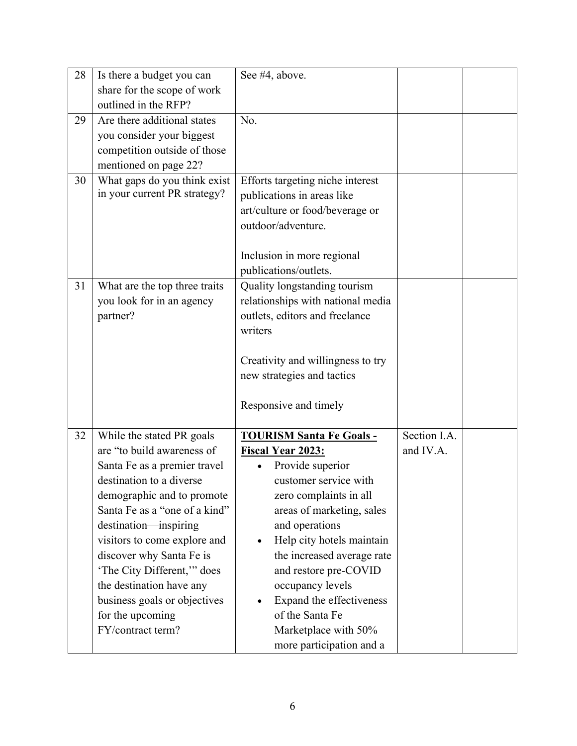| 28 | Is there a budget you can     | See #4, above.                    |              |  |
|----|-------------------------------|-----------------------------------|--------------|--|
|    | share for the scope of work   |                                   |              |  |
|    | outlined in the RFP?          |                                   |              |  |
| 29 | Are there additional states   | No.                               |              |  |
|    | you consider your biggest     |                                   |              |  |
|    | competition outside of those  |                                   |              |  |
|    | mentioned on page 22?         |                                   |              |  |
| 30 | What gaps do you think exist  | Efforts targeting niche interest  |              |  |
|    | in your current PR strategy?  | publications in areas like        |              |  |
|    |                               | art/culture or food/beverage or   |              |  |
|    |                               | outdoor/adventure.                |              |  |
|    |                               |                                   |              |  |
|    |                               | Inclusion in more regional        |              |  |
|    |                               | publications/outlets.             |              |  |
| 31 | What are the top three traits | Quality longstanding tourism      |              |  |
|    | you look for in an agency     | relationships with national media |              |  |
|    | partner?                      | outlets, editors and freelance    |              |  |
|    |                               | writers                           |              |  |
|    |                               |                                   |              |  |
|    |                               | Creativity and willingness to try |              |  |
|    |                               | new strategies and tactics        |              |  |
|    |                               |                                   |              |  |
|    |                               | Responsive and timely             |              |  |
|    |                               |                                   |              |  |
| 32 | While the stated PR goals     | <b>TOURISM Santa Fe Goals -</b>   | Section I.A. |  |
|    | are "to build awareness of    | <b>Fiscal Year 2023:</b>          | and IV.A.    |  |
|    | Santa Fe as a premier travel  | Provide superior                  |              |  |
|    | destination to a diverse      | customer service with             |              |  |
|    | demographic and to promote    | zero complaints in all            |              |  |
|    | Santa Fe as a "one of a kind" | areas of marketing, sales         |              |  |
|    | destination-inspiring         | and operations                    |              |  |
|    | visitors to come explore and  | Help city hotels maintain         |              |  |
|    | discover why Santa Fe is      | the increased average rate        |              |  |
|    | 'The City Different," does    | and restore pre-COVID             |              |  |
|    | the destination have any      | occupancy levels                  |              |  |
|    | business goals or objectives  | Expand the effectiveness          |              |  |
|    | for the upcoming              | of the Santa Fe                   |              |  |
|    | FY/contract term?             | Marketplace with 50%              |              |  |
|    |                               | more participation and a          |              |  |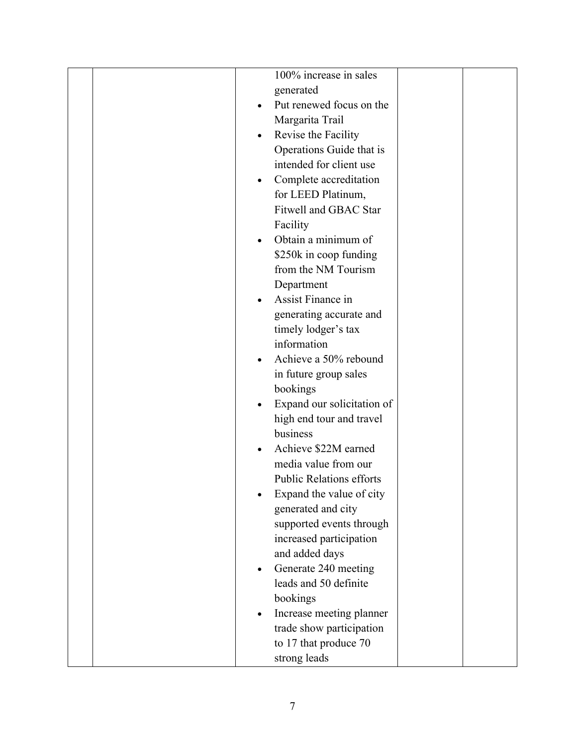|  | 100% increase in sales                  |  |
|--|-----------------------------------------|--|
|  | generated                               |  |
|  | Put renewed focus on the<br>$\bullet$   |  |
|  | Margarita Trail                         |  |
|  | Revise the Facility<br>$\bullet$        |  |
|  | Operations Guide that is                |  |
|  | intended for client use                 |  |
|  | Complete accreditation<br>$\bullet$     |  |
|  | for LEED Platinum,                      |  |
|  | Fitwell and GBAC Star                   |  |
|  | Facility                                |  |
|  | Obtain a minimum of<br>$\bullet$        |  |
|  | \$250k in coop funding                  |  |
|  | from the NM Tourism                     |  |
|  | Department                              |  |
|  | Assist Finance in                       |  |
|  | generating accurate and                 |  |
|  | timely lodger's tax                     |  |
|  | information                             |  |
|  | Achieve a 50% rebound<br>$\bullet$      |  |
|  | in future group sales                   |  |
|  | bookings                                |  |
|  | Expand our solicitation of<br>$\bullet$ |  |
|  | high end tour and travel                |  |
|  | business                                |  |
|  | Achieve \$22M earned                    |  |
|  | media value from our                    |  |
|  | <b>Public Relations efforts</b>         |  |
|  | Expand the value of city                |  |
|  | generated and city                      |  |
|  | supported events through                |  |
|  | increased participation                 |  |
|  | and added days                          |  |
|  | Generate 240 meeting<br>$\bullet$       |  |
|  | leads and 50 definite                   |  |
|  | bookings                                |  |
|  | Increase meeting planner<br>$\bullet$   |  |
|  | trade show participation                |  |
|  | to 17 that produce 70                   |  |
|  | strong leads                            |  |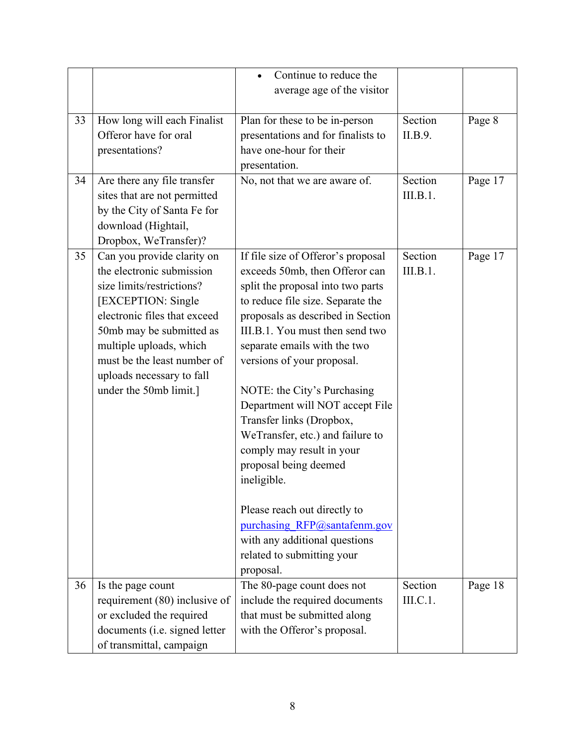|    |                               | Continue to reduce the             |          |         |
|----|-------------------------------|------------------------------------|----------|---------|
|    |                               | average age of the visitor         |          |         |
|    |                               |                                    |          |         |
| 33 | How long will each Finalist   | Plan for these to be in-person     | Section  | Page 8  |
|    | Offeror have for oral         | presentations and for finalists to | II.B.9.  |         |
|    | presentations?                | have one-hour for their            |          |         |
|    |                               | presentation.                      |          |         |
| 34 | Are there any file transfer   | No, not that we are aware of.      | Section  | Page 17 |
|    | sites that are not permitted  |                                    | III.B.1. |         |
|    | by the City of Santa Fe for   |                                    |          |         |
|    | download (Hightail,           |                                    |          |         |
|    | Dropbox, WeTransfer)?         |                                    |          |         |
| 35 | Can you provide clarity on    | If file size of Offeror's proposal | Section  | Page 17 |
|    | the electronic submission     | exceeds 50mb, then Offeror can     | III.B.1. |         |
|    | size limits/restrictions?     | split the proposal into two parts  |          |         |
|    | [EXCEPTION: Single            | to reduce file size. Separate the  |          |         |
|    | electronic files that exceed  | proposals as described in Section  |          |         |
|    | 50mb may be submitted as      | III.B.1. You must then send two    |          |         |
|    | multiple uploads, which       | separate emails with the two       |          |         |
|    | must be the least number of   | versions of your proposal.         |          |         |
|    | uploads necessary to fall     |                                    |          |         |
|    | under the 50mb limit.]        | NOTE: the City's Purchasing        |          |         |
|    |                               | Department will NOT accept File    |          |         |
|    |                               | Transfer links (Dropbox,           |          |         |
|    |                               | WeTransfer, etc.) and failure to   |          |         |
|    |                               | comply may result in your          |          |         |
|    |                               | proposal being deemed              |          |         |
|    |                               | ineligible.                        |          |         |
|    |                               |                                    |          |         |
|    |                               | Please reach out directly to       |          |         |
|    |                               | purchasing RFP@santafenm.gov       |          |         |
|    |                               | with any additional questions      |          |         |
|    |                               | related to submitting your         |          |         |
|    |                               | proposal.                          |          |         |
| 36 | Is the page count             | The 80-page count does not         | Section  | Page 18 |
|    | requirement (80) inclusive of | include the required documents     | III.C.1. |         |
|    | or excluded the required      | that must be submitted along       |          |         |
|    |                               |                                    |          |         |
|    | documents (i.e. signed letter | with the Offeror's proposal.       |          |         |
|    |                               |                                    |          |         |